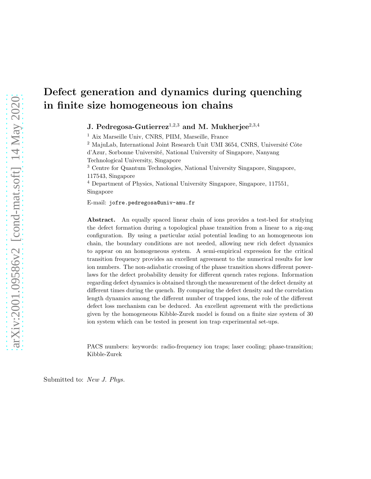# Defect generation and dynamics during quenching in finite size homogeneous ion chains

## J. Pedregosa-Gutierrez<sup>1,2,3</sup> and M. Mukherjee<sup>2,3,4</sup>

<sup>1</sup> Aix Marseille Univ, CNRS, PIIM, Marseille, France

 $2$  MajuLab, International Joint Research Unit UMI 3654, CNRS, Université Côte d'Azur, Sorbonne Universit´e, National University of Singapore, Nanyang

Technological University, Singapore

<sup>3</sup> Centre for Quantum Technologies, National University Singapore, Singapore, 117543, Singapore

<sup>4</sup> Department of Physics, National University Singapore, Singapore, 117551, Singapore

E-mail: jofre.pedregosa@univ-amu.fr

Abstract. An equally spaced linear chain of ions provides a test-bed for studying the defect formation during a topological phase transition from a linear to a zig-zag configuration. By using a particular axial potential leading to an homogeneous ion chain, the boundary conditions are not needed, allowing new rich defect dynamics to appear on an homogeneous system. A semi-empirical expression for the critical transition frequency provides an excellent agreement to the numerical results for low ion numbers. The non-adiabatic crossing of the phase transition shows different powerlaws for the defect probability density for different quench rates regions. Information regarding defect dynamics is obtained through the measurement of the defect density at different times during the quench. By comparing the defect density and the correlation length dynamics among the different number of trapped ions, the role of the different defect loss mechanism can be deduced. An excellent agreement with the predictions given by the homogeneous Kibble-Zurek model is found on a finite size system of 30 ion system which can be tested in present ion trap experimental set-ups.

PACS numbers: keywords: radio-frequency ion traps; laser cooling; phase-transition; Kibble-Zurek

Submitted to: New J. Phys.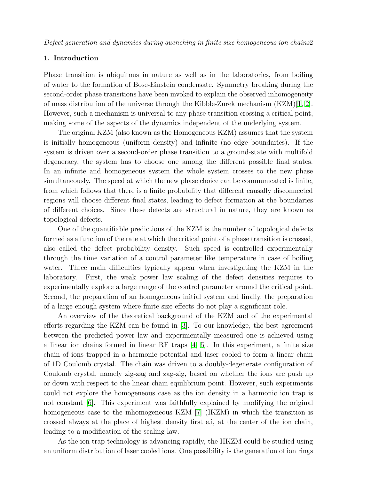## 1. Introduction

Phase transition is ubiquitous in nature as well as in the laboratories, from boiling of water to the formation of Bose-Einstein condensate. Symmetry breaking during the second-order phase transitions have been invoked to explain the observed inhomogeneity of mass distribution of the universe through the Kibble-Zurek mechanism (KZM)[\[1,](#page-19-0) [2\]](#page-19-1). However, such a mechanism is universal to any phase transition crossing a critical point, making some of the aspects of the dynamics independent of the underlying system.

The original KZM (also known as the Homogeneous KZM) assumes that the system is initially homogeneous (uniform density) and infinite (no edge boundaries). If the system is driven over a second-order phase transition to a ground-state with multifold degeneracy, the system has to choose one among the different possible final states. In an infinite and homogeneous system the whole system crosses to the new phase simultaneously. The speed at which the new phase choice can be communicated is finite, from which follows that there is a finite probability that different causally disconnected regions will choose different final states, leading to defect formation at the boundaries of different choices. Since these defects are structural in nature, they are known as topological defects.

One of the quantifiable predictions of the KZM is the number of topological defects formed as a function of the rate at which the critical point of a phase transition is crossed, also called the defect probability density. Such speed is controlled experimentally through the time variation of a control parameter like temperature in case of boiling water. Three main difficulties typically appear when investigating the KZM in the laboratory. First, the weak power law scaling of the defect densities requires to experimentally explore a large range of the control parameter around the critical point. Second, the preparation of an homogeneous initial system and finally, the preparation of a large enough system where finite size effects do not play a significant role.

An overview of the theoretical background of the KZM and of the experimental efforts regarding the KZM can be found in [\[3\]](#page-19-2). To our knowledge, the best agreement between the predicted power law and experimentally measured one is achieved using a linear ion chains formed in linear RF traps [\[4,](#page-19-3) [5\]](#page-19-4). In this experiment, a finite size chain of ions trapped in a harmonic potential and laser cooled to form a linear chain of 1D Coulomb crystal. The chain was driven to a doubly-degenerate configuration of Coulomb crystal, namely zig-zag and zag-zig, based on whether the ions are push up or down with respect to the linear chain equilibrium point. However, such experiments could not explore the homogeneous case as the ion density in a harmonic ion trap is not constant [\[6\]](#page-19-5). This experiment was faithfully explained by modifying the original homogeneous case to the inhomogeneous KZM [\[7\]](#page-19-6) (IKZM) in which the transition is crossed always at the place of highest density first e.i, at the center of the ion chain, leading to a modification of the scaling law.

As the ion trap technology is advancing rapidly, the HKZM could be studied using an uniform distribution of laser cooled ions. One possibility is the generation of ion rings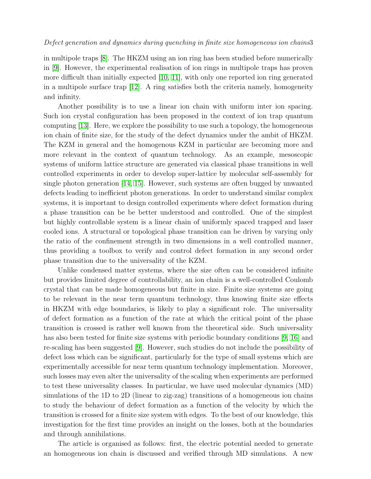in multipole traps [\[8\]](#page-19-7). The HKZM using an ion ring has been studied before numerically in [\[9\]](#page-20-0). However, the experimental realisation of ion rings in multipole traps has proven more difficult than initially expected [\[10,](#page-20-1) [11\]](#page-20-2), with only one reported ion ring generated in a multipole surface trap [\[12\]](#page-20-3). A ring satisfies both the criteria namely, homogeneity and infinity.

Another possibility is to use a linear ion chain with uniform inter ion spacing. Such ion crystal configuration has been proposed in the context of ion trap quantum computing [\[13\]](#page-20-4). Here, we explore the possibility to use such a topology, the homogeneous ion chain of finite size, for the study of the defect dynamics under the ambit of HKZM. The KZM in general and the homogenous KZM in particular are becoming more and more relevant in the context of quantum technology. As an example, mesoscopic systems of uniform lattice structure are generated via classical phase transitions in well controlled experiments in order to develop super-lattice by molecular self-assembly for single photon generation [\[14,](#page-20-5) [15\]](#page-20-6). However, such systems are often bugged by unwanted defects leading to inefficient photon generations. In order to understand similar complex systems, it is important to design controlled experiments where defect formation during a phase transition can be be better understood and controlled. One of the simplest but highly controllable system is a linear chain of uniformly spaced trapped and laser cooled ions. A structural or topological phase transition can be driven by varying only the ratio of the confinement strength in two dimensions in a well controlled manner, thus providing a toolbox to verify and control defect formation in any second order phase transition due to the universality of the KZM.

Unlike condensed matter systems, where the size often can be considered infinite but provides limited degree of controllability, an ion chain is a well-controlled Coulomb crystal that can be made homogeneous but finite in size. Finite size systems are going to be relevant in the near term quantum technology, thus knowing finite size effects in HKZM with edge boundaries, is likely to play a significant role. The universality of defect formation as a function of the rate at which the critical point of the phase transition is crossed is rather well known from the theoretical side. Such universality has also been tested for finite size systems with periodic boundary conditions [\[9,](#page-20-0) [16\]](#page-20-7) and re-scaling has been suggested [\[9\]](#page-20-0). However, such studies do not include the possibility of defect loss which can be significant, particularly for the type of small systems which are experimentally accessible for near term quantum technology implementation. Moreover, such losses may even alter the universality of the scaling when experiments are performed to test these universality classes. In particular, we have used molecular dynamics (MD) simulations of the 1D to 2D (linear to zig-zag) transitions of a homogeneous ion chains to study the behaviour of defect formation as a function of the velocity by which the transition is crossed for a finite size system with edges. To the best of our knowledge, this investigation for the first time provides an insight on the losses, both at the boundaries and through annihilations.

The article is organised as follows: first, the electric potential needed to generate an homogeneous ion chain is discussed and verified through MD simulations. A new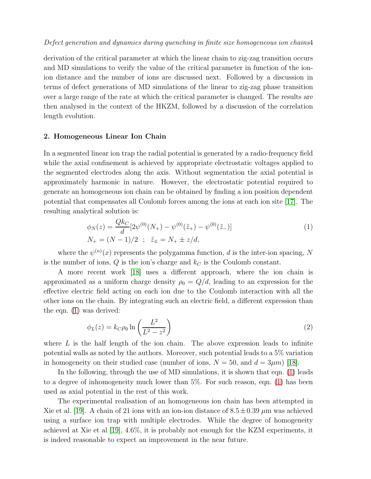derivation of the critical parameter at which the linear chain to zig-zag transition occurs and MD simulations to verify the value of the critical parameter in function of the ionion distance and the number of ions are discussed next. Followed by a discussion in terms of defect generations of MD simulations of the linear to zig-zag phase transition over a large range of the rate at which the critical parameter is changed. The results are then analysed in the context of the HKZM, followed by a discussion of the correlation length evolution.

## 2. Homogeneous Linear Ion Chain

In a segmented linear ion trap the radial potential is generated by a radio-frequency field while the axial confinement is achieved by appropriate electrostatic voltages applied to the segmented electrodes along the axis. Without segmentation the axial potential is approximately harmonic in nature. However, the electrostatic potential required to generate an homogeneous ion chain can be obtained by finding a ion position dependent potential that compensates all Coulomb forces among the ions at each ion site [\[17\]](#page-20-8). The resulting analytical solution is:

<span id="page-3-0"></span>
$$
\phi_N(z) = \frac{Qk_C}{d} [2\psi^{(0)}(N_+) - \psi^{(0)}(\tilde{z}_+) - \psi^{(0)}(\tilde{z}_-) ]
$$
  
\n
$$
N_+ = (N - 1)/2 \; ; \; \tilde{z}_+ = N_+ \pm z/d,
$$
\n(1)

where the  $\psi^{(n)}(x)$  represents the polygamma function, d is the inter-ion spacing, N is the number of ions,  $Q$  is the ion's charge and  $k<sub>C</sub>$  is the Coulomb constant.

A more recent work [\[18\]](#page-20-9) uses a different approach, where the ion chain is approximated as a uniform charge density  $\rho_0 = Q/d$ , leading to an expression for the effective electric field acting on each ion due to the Coulomb interaction with all the other ions on the chain. By integrating such an electric field, a different expression than the eqn. [\(1\)](#page-3-0) was derived:

$$
\phi_L(z) = k_C \rho_0 \ln \left( \frac{L^2}{L^2 - z^2} \right) \tag{2}
$$

where  $L$  is the half length of the ion chain. The above expression leads to infinite potential walls as noted by the authors. Moreover, such potential leads to a 5% variation in homogeneity on their studied case (number of ions,  $N = 50$ , and  $d = 3\mu m$ ) [\[18\]](#page-20-9).

In the following, through the use of MD simulations, it is shown that eqn. [\(1\)](#page-3-0) leads to a degree of inhomogeneity much lower than 5%. For such reason, eqn. [\(1\)](#page-3-0) has been used as axial potential in the rest of this work.

The experimental realisation of an homogeneous ion chain has been attempted in Xie et al. [\[19\]](#page-20-10). A chain of 21 ions with an ion-ion distance of  $8.5 \pm 0.39 \ \mu m$  was achieved using a surface ion trap with multiple electrodes. While the degree of homogeneity achieved at Xie et al [\[19\]](#page-20-10), 4.6%, it is probably not enough for the KZM experiments, it is indeed reasonable to expect an improvement in the near future.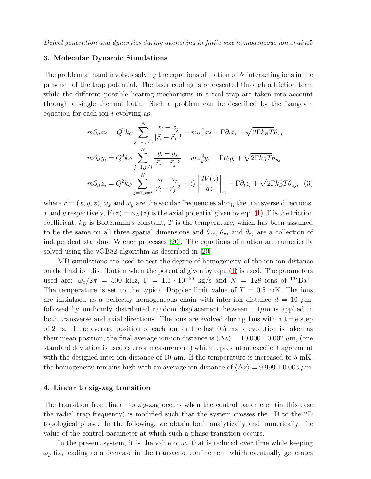## 3. Molecular Dynamic Simulations

The problem at hand involves solving the equations of motion of N interacting ions in the presence of the trap potential. The laser cooling is represented through a friction term while the different possible heating mechanisms in a real trap are taken into account through a single thermal bath. Such a problem can be described by the Langevin equation for each ion  $i$  evolving as:

$$
m\partial_{tt}x_i = Q^2k_C \sum_{j=1, j\neq i}^N \frac{x_i - x_j}{|\vec{r}_i - \vec{r}_j|^3} - m\omega_x^2 x_j - \Gamma \partial_t x_i + \sqrt{2\Gamma k_B T} \theta_{xj}
$$
  
\n
$$
m\partial_{tt}y_i = Q^2k_C \sum_{j=1, j\neq i}^N \frac{y_i - y_j}{|\vec{r}_i - \vec{r}_j|^3} - m\omega_y^2 y_j - \Gamma \partial_t y_i + \sqrt{2\Gamma k_B T} \theta_{yj}
$$
  
\n
$$
m\partial_{tt}z_i = Q^2k_C \sum_{j=1, j\neq i}^N \frac{z_i - z_j}{|\vec{r}_i - \vec{r}_j|^3} - Q \left| \frac{dV(z)}{dz} \right|_{z_i} - \Gamma \partial_t z_i + \sqrt{2\Gamma k_B T} \theta_{zj}, \quad (3)
$$

where  $\vec{r} = (x, y, z), \omega_x$  and  $\omega_y$  are the secular frequencies along the transverse directions, x and y respectively,  $V(z) = \phi_N(z)$  is the axial potential given by eqn.[\(1\)](#page-3-0),  $\Gamma$  is the friction coefficient,  $k_B$  is Boltzmann's constant, T is the temperature, which has been assumed to be the same on all three spatial dimensions and  $\theta_{xj}$ ,  $\theta_{yj}$  and  $\theta_{zj}$  are a collection of independent standard Wiener processes [\[20\]](#page-20-11). The equations of motion are numerically solved using the vGB82 algorithm as described in [\[20\]](#page-20-11).

MD simulations are used to test the degree of homogeneity of the ion-ion distance on the final ion distribution when the potential given by eqn. [\(1\)](#page-3-0) is used. The parameters used are:  $\omega_x/2\pi = 500$  kHz,  $\Gamma = 1.5 \cdot 10^{-20}$  kg/s and  $N = 128$  ions of  $^{138}Ba^+$ . The temperature is set to the typical Doppler limit value of  $T = 0.5$  mK. The ions are initialised as a perfectly homogeneous chain with inter-ion distance  $d = 10 \mu m$ , followed by uniformly distributed random displacement between  $\pm 1\mu$ m is applied in both transverse and axial directions. The ions are evolved during 1ms with a time step of 2 ns. If the average position of each ion for the last 0.5 ms of evolution is taken as their mean position, the final average ion-ion distance is  $\langle \Delta z \rangle = 10.000 \pm 0.002 \ \mu \text{m}$ , (one standard deviation is used as error measurement) which represent an excellent agreement with the designed inter-ion distance of 10  $\mu$ m. If the temperature is increased to 5 mK, the homogeneity remains high with an average ion distance of  $\langle \Delta z \rangle = 9.999 \pm 0.003 \,\mu m$ .

## 4. Linear to zig-zag transition

The transition from linear to zig-zag occurs when the control parameter (in this case the radial trap frequency) is modified such that the system crosses the 1D to the 2D topological phase. In the following, we obtain both analytically and numerically, the value of the control parameter at which such a phase transition occurs.

In the present system, it is the value of  $\omega_x$  that is reduced over time while keeping  $\omega_y$  fix, leading to a decrease in the transverse confinement which eventually generates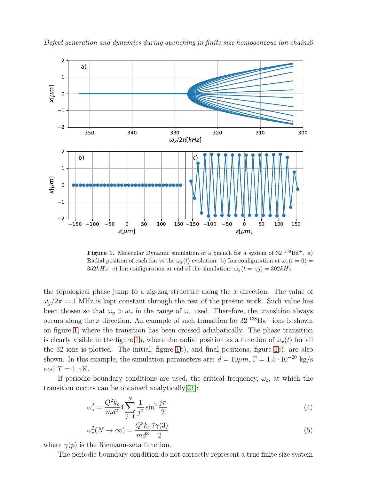

Defect generation and dynamics during quenching in finite size homogeneous ion chains6

<span id="page-5-0"></span>**Figure 1.** Molecular Dynamic simulation of a quench for a system of  $32^{138}Ba^+$ . a) Radial position of each ion vs the  $\omega_x(t)$  evolution. b) Ion configuration at  $\omega_x(t=0)$ 352kHz. c) Ion configuration at end of the simulation:  $\omega_x(t = \tau_Q) = 302kHz$ 

the topological phase jump to a zig-zag structure along the x direction. The value of  $\omega_y/2\pi = 1$  MHz is kept constant through the rest of the present work. Such value has been chosen so that  $\omega_y > \omega_x$  in the range of  $\omega_x$  used. Therefore, the transition always occurs along the x direction. An example of such transition for  $32^{138}Ba^+$  ions is shown on figure [1,](#page-5-0) where the transition has been crossed adiabatically. The phase transition is clearly visible in the figure [1a](#page-5-0), where the radial position as a function of  $\omega_x(t)$  for all the 32 ions is plotted. The initial, figure [1b](#page-5-0)), and final positions, figure [1c](#page-5-0)), are also shown. In this example, the simulation parameters are:  $d = 10 \mu m$ ,  $\Gamma = 1.5 \cdot 10^{-20}$  kg/s and  $T = 1$  nK.

If periodic boundary conditions are used, the critical frequency,  $\omega_c$ , at which the transition occurs can be obtained analytically[\[21\]](#page-20-12):

<span id="page-5-1"></span>
$$
\omega_c^2 = \frac{Q^2 k_c}{m d^3} 4 \sum_{j=1}^N \frac{1}{j^3} \sin^2 \frac{j\pi}{2}
$$
 (4)

$$
\omega_c^2(N \to \infty) = \frac{Q^2 k_c}{m d^3} \frac{7\gamma(3)}{2} \tag{5}
$$

where  $\gamma(p)$  is the Riemann-zeta function.

The periodic boundary condition do not correctly represent a true finite size system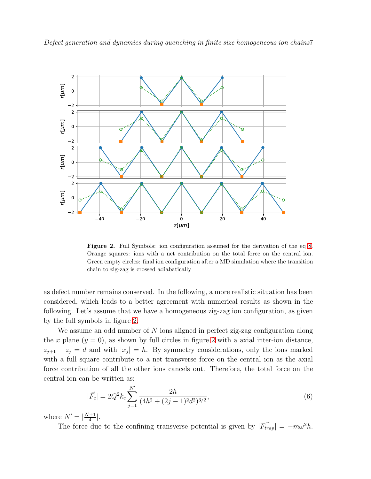



<span id="page-6-0"></span>Figure 2. Full Symbols: ion configuration assumed for the derivation of the eq [8.](#page-7-0) Orange squares: ions with a net contribution on the total force on the central ion. Green empty circles: final ion configuration after a MD simulation where the transition chain to zig-zag is crossed adiabatically

as defect number remains conserved. In the following, a more realistic situation has been considered, which leads to a better agreement with numerical results as shown in the following. Let's assume that we have a homogeneous zig-zag ion configuration, as given by the full symbols in figure [2.](#page-6-0)

We assume an odd number of  $N$  ions aligned in perfect zig-zag configuration along the x plane  $(y = 0)$ , as shown by full circles in figure [2](#page-6-0) with a axial inter-ion distance,  $z_{j+1} - z_j = d$  and with  $|x_j| = h$ . By symmetry considerations, only the ions marked with a full square contribute to a net transverse force on the central ion as the axial force contribution of all the other ions cancels out. Therefore, the total force on the central ion can be written as:

$$
|\vec{F}_c| = 2Q^2 k_c \sum_{j=1}^{N'} \frac{2h}{(4h^2 + (2j-1)^2 d^2)^{3/2}},\tag{6}
$$

where  $N' = \frac{N+1}{4}$  $\frac{+1}{4}$ .

The force due to the confining transverse potential is given by  $|\vec{F_{trap}}| = -m\omega^2 h$ .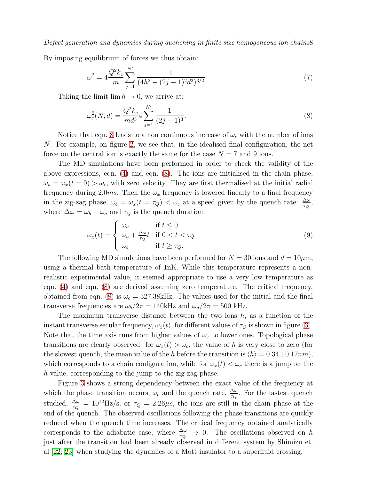Defect generation and dynamics during quenching in finite size homogeneous ion chains8

By imposing equilibrium of forces we thus obtain:

$$
\omega^2 = 4 \frac{Q^2 k_c}{m} \sum_{j=1}^{N'} \frac{1}{(4h^2 + (2j - 1)^2 d^2)^{3/2}}\tag{7}
$$

Taking the limit  $\lim h \to 0$ , we arrive at:

<span id="page-7-0"></span>
$$
\omega_c^2(N,d) = \frac{Q^2 k_c}{m d^3} 4 \sum_{j=1}^{N'} \frac{1}{(2j-1)^3}.
$$
\n(8)

Notice that eqn. [8](#page-7-0) leads to a non continuous increase of  $\omega_c$  with the number of ions N. For example, on figure [2,](#page-6-0) we see that, in the idealised final configuration, the net force on the central ion is exactly the same for the case  $N = 7$  and 9 ions.

The MD simulations have been performed in order to check the validity of the above expressions, eqn. [\(4\)](#page-5-1) and eqn. [\(8\)](#page-7-0). The ions are initialised in the chain phase,  $\omega_a = \omega_x(t=0) > \omega_c$ , with zero velocity. They are first thermalised at the initial radial frequency during 2.0ms. Then the  $\omega_x$  frequency is lowered linearly to a final frequency in the zig-zag phase,  $\omega_b = \omega_x(t = \tau_Q) < \omega_c$  at a speed given by the quench rate:  $\frac{\Delta \omega}{\tau_Q}$ , where  $\Delta \omega = \omega_b - \omega_a$  and  $\tau_Q$  is the quench duration:

$$
\omega_x(t) = \begin{cases}\n\omega_a & \text{if } t \le 0 \\
\omega_a + \frac{\Delta \omega}{\tau_Q} t & \text{if } 0 < t < \tau_Q \\
\omega_b & \text{if } t \ge \tau_Q.\n\end{cases}
$$
\n(9)

The following MD simulations have been performed for  $N = 30$  ions and  $d = 10 \mu$ m, using a thermal bath temperature of 1nK. While this temperature represents a nonrealistic experimental value, it seemed appropriate to use a very low temperature as eqn. [\(4\)](#page-5-1) and eqn. [\(8\)](#page-7-0) are derived assuming zero temperature. The critical frequency, obtained from eqn. [\(8\)](#page-7-0) is  $\omega_c = 327.38$ kHz. The values used for the initial and the final transverse frequencies are  $\omega_b/2\pi = 140$ kHz and  $\omega_a/2\pi = 500$  kHz.

The maximum transverse distance between the two ions  $h$ , as a function of the instant transverse secular frequency,  $\omega_x(t)$ , for different values of  $\tau_Q$  is shown in figure [\(3\)](#page-8-0). Note that the time axis runs from higher values of  $\omega_x$  to lower ones. Topological phase transitions are clearly observed: for  $\omega_x(t) > \omega_c$ , the value of h is very close to zero (for the slowest quench, the mean value of the h before the transition is  $\langle h \rangle = 0.34 \pm 0.17nm$ , which corresponds to a chain configuration, while for  $\omega_x(t) < \omega_c$  there is a jump on the h value, corresponding to the jump to the zig-zag phase.

Figure [3](#page-8-0) shows a strong dependency between the exact value of the frequency at which the phase transition occurs,  $\omega_c$  and the quench rate,  $\frac{\Delta\omega}{\tau_Q}$ . For the fastest quench studied,  $\frac{\Delta\omega}{\tau_Q} = 10^{12}$  Hz/s, or  $\tau_Q = 2.26 \mu s$ , the ions are still in the chain phase at the end of the quench. The observed oscillations following the phase transitions are quickly reduced when the quench time increases. The critical frequency obtained analytically corresponds to the adiabatic case, where  $\frac{\Delta\omega}{\tau_Q} \to 0$ . The oscillations observed on h just after the transition had been already observed in different system by Shimizu et. al [\[22,](#page-20-13) [23\]](#page-20-14) when studying the dynamics of a Mott insulator to a superfluid crossing.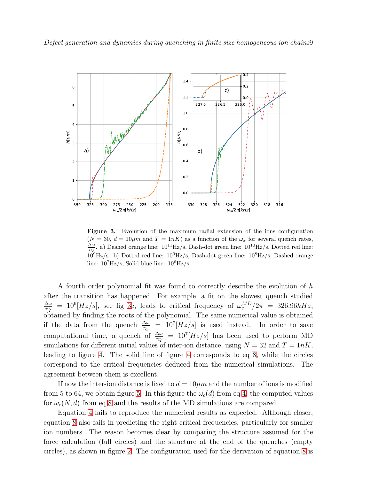

<span id="page-8-0"></span>Figure 3. Evolution of the maximum radial extension of the ions configuration  $(N = 30, d = 10 \mu m$  and  $T = 1nK$ ) as a function of the  $\omega_x$  for several quench rates,  $\frac{\Delta\omega}{\tau_Q}$ . a) Dashed orange line:  $10^{11}$ Hz/s, Dash-dot green line:  $10^{10}$ Hz/s, Dotted red line:  $10^9$ Hz/s. b) Dotted red line:  $10^9$ Hz/s, Dash-dot green line:  $10^8$ Hz/s, Dashed orange line:  $10^7$ Hz/s, Solid blue line:  $10^6$ Hz/s

A fourth order polynomial fit was found to correctly describe the evolution of h after the transition has happened. For example, a fit on the slowest quench studied ∆ω  $\frac{\Delta\omega}{\tau_Q}$  = 10<sup>6</sup>[Hz/s], see fig [3c](#page-8-0), leads to critical frequency of  $\omega_c^{MD}/2\pi$  = 326.96kHz, obtained by finding the roots of the polynomial. The same numerical value is obtained if the data from the quench  $\frac{\Delta \omega}{\tau_Q}$  =  $10^7 [Hz/s]$  is used instead. In order to save computational time, a quench of  $\frac{\Delta \omega}{\tau_Q}$  =  $10^7 [Hz/s]$  has been used to perform MD simulations for different initial values of inter-ion distance, using  $N = 32$  and  $T = 1nK$ , leading to figure [4.](#page-9-0) The solid line of figure [4](#page-9-0) corresponds to eq [8,](#page-7-0) while the circles correspond to the critical frequencies deduced from the numerical simulations. The agreement between them is excellent.

If now the inter-ion distance is fixed to  $d = 10 \mu m$  and the number of ions is modified from 5 to 64, we obtain figure [5.](#page-10-0) In this figure the  $\omega_c(d)$  from eq [4,](#page-5-1) the computed values for  $\omega_c(N, d)$  from eq [8](#page-7-0) and the results of the MD simulations are compared.

Equation [4](#page-5-1) fails to reproduce the numerical results as expected. Although closer, equation [8](#page-7-0) also fails in predicting the right critical frequencies, particularly for smaller ion numbers. The reason becomes clear by comparing the structure assumed for the force calculation (full circles) and the structure at the end of the quenches (empty circles), as shown in figure [2.](#page-6-0) The configuration used for the derivation of equation [8](#page-7-0) is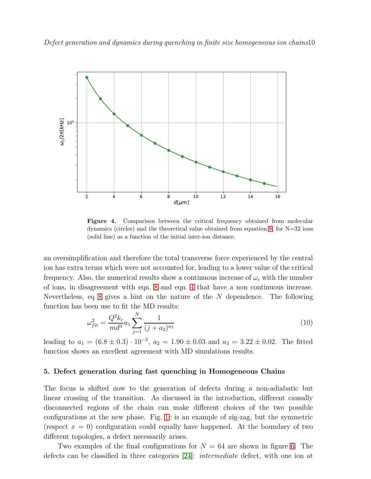

<span id="page-9-0"></span>Figure 4. Comparison between the critical frequency obtained from molecular dynamics (circles) and the theoretical value obtained from equation [8,](#page-7-0) for N=32 ions (solid line) as a function of the initial inter-ion distance.

an oversimplification and therefore the total transverse force experienced by the central ion has extra terms which were not accounted for, leading to a lower value of the critical frequency. Also, the numerical results show a continuous increase of  $\omega_c$  with the number of ions, in disagreement with eqn. [8](#page-7-0) and eqn. [4](#page-5-1) that have a non continuous increase. Nevertheless, eq [8](#page-7-0) gives a hint on the nature of the N dependence. The following function has been use to fit the MD results:

$$
\omega_{fit}^2 = \frac{Q^2 k_c}{m d^3} a_1 \sum_{j=1}^N \frac{1}{(j + a_2)^{a_3}} \tag{10}
$$

leading to  $a_1 = (6.8 \pm 0.3) \cdot 10^{-5}$ ,  $a_2 = 1.90 \pm 0.03$  and  $a_3 = 3.22 \pm 0.02$ . The fitted function shows an excellent agreement with MD simulations results.

#### 5. Defect generation during fast quenching in Homogeneous Chains

The focus is shifted now to the generation of defects during a non-adiabatic but linear crossing of the transition. As discussed in the introduction, different causally disconnected regions of the chain can make different choices of the two possible configurations at the new phase. Fig. [1c](#page-5-0) is an example of zig-zag, but the symmetric (respect  $x = 0$ ) configuration could equally have happened. At the boundary of two different topologies, a defect necessarily arises.

Two examples of the final configurations for  $N = 64$  are shown in figure [6.](#page-11-0) The defects can be classified in three categories [\[24\]](#page-20-15): intermediate defect, with one ion at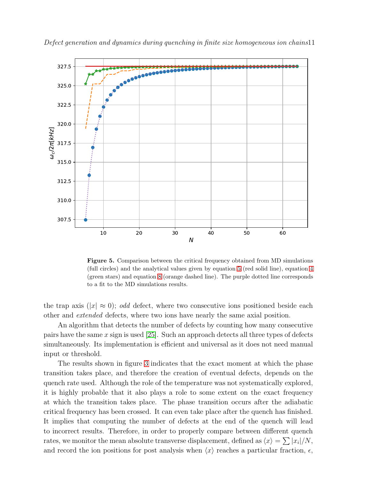

Defect generation and dynamics during quenching in finite size homogeneous ion chains11

<span id="page-10-0"></span>Figure 5. Comparison between the critical frequency obtained from MD simulations (full circles) and the analytical values given by equation [5](#page-5-1) (red solid line), equation [4](#page-5-1) (green stars) and equation [8](#page-7-0) (orange dashed line). The purple dotted line corresponds to a fit to the MD simulations results.

the trap axis ( $|x| \approx 0$ ); odd defect, where two consecutive ions positioned beside each other and extended defects, where two ions have nearly the same axial position.

An algorithm that detects the number of defects by counting how many consecutive pairs have the same x sign is used  $[25]$ . Such an approach detects all three types of defects simultaneously. Its implementation is efficient and universal as it does not need manual input or threshold.

The results shown in figure [3](#page-8-0) indicates that the exact moment at which the phase transition takes place, and therefore the creation of eventual defects, depends on the quench rate used. Although the role of the temperature was not systematically explored, it is highly probable that it also plays a role to some extent on the exact frequency at which the transition takes place. The phase transition occurs after the adiabatic critical frequency has been crossed. It can even take place after the quench has finished. It implies that computing the number of defects at the end of the quench will lead to incorrect results. Therefore, in order to properly compare between different quench rates, we monitor the mean absolute transverse displacement, defined as  $\langle x \rangle = \sum |x_i|/N$ , and record the ion positions for post analysis when  $\langle x \rangle$  reaches a particular fraction,  $\epsilon$ ,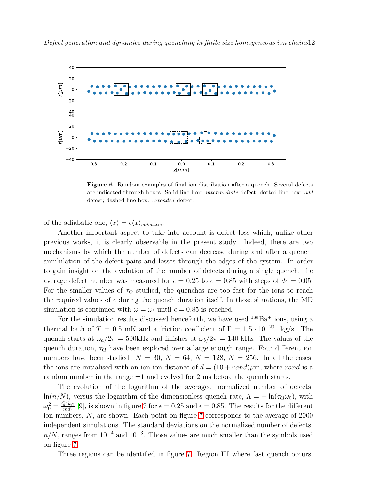

<span id="page-11-0"></span>Figure 6. Random examples of final ion distribution after a quench. Several defects are indicated through boxes. Solid line box: intermediate defect; dotted line box: odd defect; dashed line box: extended defect.

of the adiabatic one,  $\langle x \rangle = \epsilon \langle x \rangle_{adiabatic}$ .

Another important aspect to take into account is defect loss which, unlike other previous works, it is clearly observable in the present study. Indeed, there are two mechanisms by which the number of defects can decrease during and after a quench: annihilation of the defect pairs and losses through the edges of the system. In order to gain insight on the evolution of the number of defects during a single quench, the average defect number was measured for  $\epsilon = 0.25$  to  $\epsilon = 0.85$  with steps of  $d\epsilon = 0.05$ . For the smaller values of  $\tau_Q$  studied, the quenches are too fast for the ions to reach the required values of  $\epsilon$  during the quench duration itself. In those situations, the MD simulation is continued with  $\omega = \omega_b$  until  $\epsilon = 0.85$  is reached.

For the simulation results discussed henceforth, we have used  $138Ba<sup>+</sup>$  ions, using a thermal bath of T = 0.5 mK and a friction coefficient of  $\Gamma = 1.5 \cdot 10^{-20}$  kg/s. The quench starts at  $\omega_a/2\pi = 500$ kHz and finishes at  $\omega_b/2\pi = 140$  kHz. The values of the quench duration,  $\tau_Q$  have been explored over a large enough range. Four different ion numbers have been studied:  $N = 30, N = 64, N = 128, N = 256$ . In all the cases, the ions are initialised with an ion-ion distance of  $d = (10 + rand)\mu m$ , where rand is a random number in the range  $\pm 1$  and evolved for 2 ms before the quench starts.

The evolution of the logarithm of the averaged normalized number of defects, ln(n/N), versus the logarithm of the dimensionless quench rate,  $\Lambda = -\ln(\tau_0\omega_0)$ , with  $\omega_0^2 = \frac{Q^2 k_C}{m d^3}$  [\[9\]](#page-20-0), is shown in figure [7](#page-12-0) for  $\epsilon = 0.25$  and  $\epsilon = 0.85$ . The results for the different ion numbers, N, are shown. Each point on figure [7](#page-12-0) corresponds to the average of 2000 independent simulations. The standard deviations on the normalized number of defects,  $n/N$ , ranges from 10<sup>-4</sup> and 10<sup>-3</sup>. Those values are much smaller than the symbols used on figure [7.](#page-12-0)

Three regions can be identified in figure [7.](#page-12-0) Region III where fast quench occurs,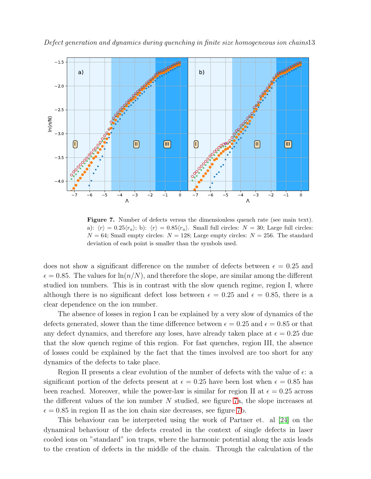



<span id="page-12-0"></span>Figure 7. Number of defects versus the dimensionless quench rate (see main text). a):  $\langle r \rangle = 0.25 \langle r_a \rangle$ ; b):  $\langle r \rangle = 0.85 \langle r_a \rangle$ . Small full circles:  $N = 30$ ; Large full circles:  $N = 64$ ; Small empty circles:  $N = 128$ ; Large empty circles:  $N = 256$ . The standard deviation of each point is smaller than the symbols used.

does not show a significant difference on the number of defects between  $\epsilon = 0.25$  and  $\epsilon = 0.85$ . The values for  $\ln(n/N)$ , and therefore the slope, are similar among the different studied ion numbers. This is in contrast with the slow quench regime, region I, where although there is no significant defect loss between  $\epsilon = 0.25$  and  $\epsilon = 0.85$ , there is a clear dependence on the ion number.

The absence of losses in region I can be explained by a very slow of dynamics of the defects generated, slower than the time difference between  $\epsilon = 0.25$  and  $\epsilon = 0.85$  or that any defect dynamics, and therefore any loses, have already taken place at  $\epsilon = 0.25$  due that the slow quench regime of this region. For fast quenches, region III, the absence of losses could be explained by the fact that the times involved are too short for any dynamics of the defects to take place.

Region II presents a clear evolution of the number of defects with the value of  $\epsilon$ : a significant portion of the defects present at  $\epsilon = 0.25$  have been lost when  $\epsilon = 0.85$  has been reached. Moreover, while the power-law is similar for region II at  $\epsilon = 0.25$  across the different values of the ion number N studied, see figure [7a](#page-12-0), the slope increases at  $\epsilon = 0.85$  in region II as the ion chain size decreases, see figure [7b](#page-12-0).

This behaviour can be interpreted using the work of Partner et. al [\[24\]](#page-20-15) on the dynamical behaviour of the defects created in the context of single defects in laser cooled ions on "standard" ion traps, where the harmonic potential along the axis leads to the creation of defects in the middle of the chain. Through the calculation of the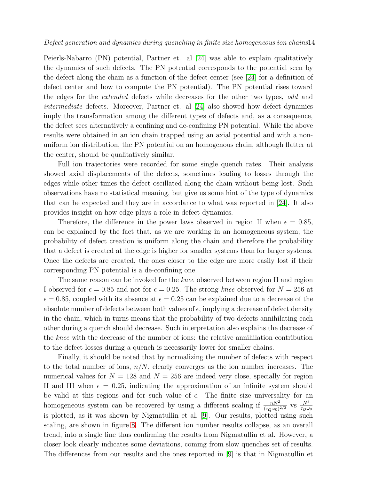## Defect generation and dynamics during quenching in finite size homogeneous ion chains14

Peierls-Nabarro (PN) potential, Partner et. al [\[24\]](#page-20-15) was able to explain qualitatively the dynamics of such defects. The PN potential corresponds to the potential seen by the defect along the chain as a function of the defect center (see [\[24\]](#page-20-15) for a definition of defect center and how to compute the PN potential). The PN potential rises toward the edges for the extended defects while decreases for the other two types, odd and intermediate defects. Moreover, Partner et. al [\[24\]](#page-20-15) also showed how defect dynamics imply the transformation among the different types of defects and, as a consequence, the defect sees alternatively a confining and de-confining PN potential. While the above results were obtained in an ion chain trapped using an axial potential and with a nonuniform ion distribution, the PN potential on an homogenous chain, although flatter at the center, should be qualitatively similar.

Full ion trajectories were recorded for some single quench rates. Their analysis showed axial displacements of the defects, sometimes leading to losses through the edges while other times the defect oscillated along the chain without being lost. Such observations have no statistical meaning, but give us some hint of the type of dynamics that can be expected and they are in accordance to what was reported in [\[24\]](#page-20-15). It also provides insight on how edge plays a role in defect dynamics.

Therefore, the difference in the power laws observed in region II when  $\epsilon = 0.85$ , can be explained by the fact that, as we are working in an homogeneous system, the probability of defect creation is uniform along the chain and therefore the probability that a defect is created at the edge is higher for smaller systems than for larger systems. Once the defects are created, the ones closer to the edge are more easily lost if their corresponding PN potential is a de-confining one.

The same reason can be invoked for the *knee* observed between region II and region I observed for  $\epsilon = 0.85$  and not for  $\epsilon = 0.25$ . The strong knee observed for  $N = 256$  at  $\epsilon = 0.85$ , coupled with its absence at  $\epsilon = 0.25$  can be explained due to a decrease of the absolute number of defects between both values of  $\epsilon$ , implying a decrease of defect density in the chain, which in turns means that the probability of two defects annihilating each other during a quench should decrease. Such interpretation also explains the decrease of the knee with the decrease of the number of ions: the relative annihilation contribution to the defect losses during a quench is necessarily lower for smaller chains.

Finally, it should be noted that by normalizing the number of defects with respect to the total number of ions,  $n/N$ , clearly converges as the ion number increases. The numerical values for  $N = 128$  and  $N = 256$  are indeed very close, specially for region II and III when  $\epsilon = 0.25$ , indicating the approximation of an infinite system should be valid at this regions and for such value of  $\epsilon$ . The finite size universality for an homogeneous system can be recovered by using a different scaling if  $\frac{nN^2}{(\tau_Q\omega_0)^{2/3}}$  vs  $\frac{N^3}{\tau_Q\omega_0}$ is plotted, as it was shown by Nigmatullin et al. [\[9\]](#page-20-0). Our results, plotted using such scaling, are shown in figure [8.](#page-14-0) The different ion number results collapse, as an overall trend, into a single line thus confirming the results from Nigmatullin et al. However, a closer look clearly indicates some deviations, coming from slow quenches set of results. The differences from our results and the ones reported in [\[9\]](#page-20-0) is that in Nigmatullin et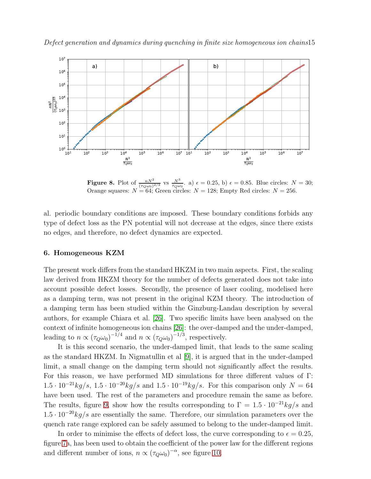



<span id="page-14-0"></span>**Figure 8.** Plot of  $\frac{nN^2}{(\tau_Q\omega_0)^{2/3}}$  vs  $\frac{N^3}{\tau_Q\omega_0}$ . a)  $\epsilon = 0.25$ , b)  $\epsilon = 0.85$ . Blue circles:  $N = 30$ ; Orange squares:  $N = 64$ ; Green circles:  $N = 128$ ; Empty Red circles:  $N = 256$ .

al. periodic boundary conditions are imposed. These boundary conditions forbids any type of defect loss as the PN potential will not decrease at the edges, since there exists no edges, and therefore, no defect dynamics are expected.

## 6. Homogeneous KZM

The present work differs from the standard HKZM in two main aspects. First, the scaling law derived from HKZM theory for the number of defects generated does not take into account possible defect losses. Secondly, the presence of laser cooling, modelised here as a damping term, was not present in the original KZM theory. The introduction of a damping term has been studied within the Ginzburg-Landau description by several authors, for example Chiara et al. [\[26\]](#page-20-17). Two specific limits have been analysed on the context of infinite homogeneous ion chains [\[26\]](#page-20-17): the over-damped and the under-damped, leading to  $n \propto (\tau_Q \omega_0)^{-1/4}$  and  $n \propto (\tau_Q \omega_0)^{-1/3}$ , respectively.

It is this second scenario, the under-damped limit, that leads to the same scaling as the standard HKZM. In Nigmatullin et al [\[9\]](#page-20-0), it is argued that in the under-damped limit, a small change on the damping term should not significantly affect the results. For this reason, we have performed MD simulations for three different values of Γ:  $1.5 \cdot 10^{-21} \frac{kg}{s}$ ,  $1.5 \cdot 10^{-20} \frac{kg}{s}$  and  $1.5 \cdot 10^{-19} \frac{kg}{s}$ . For this comparison only  $N = 64$ have been used. The rest of the parameters and procedure remain the same as before. The results, figure [9,](#page-15-0) show how the results corresponding to  $\Gamma = 1.5 \cdot 10^{-21} kg/s$  and  $1.5 \cdot 10^{-20}$  kg/s are essentially the same. Therefore, our simulation parameters over the quench rate range explored can be safely assumed to belong to the under-damped limit.

In order to minimise the effects of defect loss, the curve corresponding to  $\epsilon = 0.25$ , figure [7a](#page-12-0), has been used to obtain the coefficient of the power law for the different regions and different number of ions,  $n \propto (\tau_Q \omega_0)^{-\alpha}$ , see figure [10.](#page-16-0)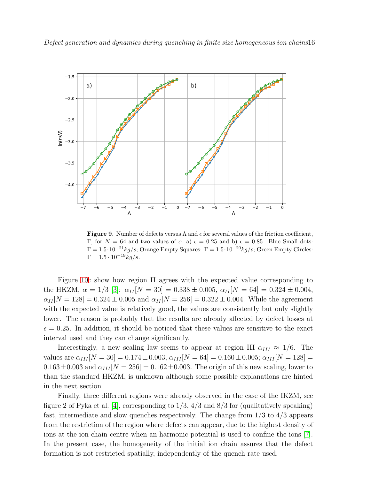

<span id="page-15-0"></span>**Figure 9.** Number of defects versus  $\Lambda$  and  $\epsilon$  for several values of the friction coefficient, Γ, for  $N = 64$  and two values of  $\epsilon$ : a)  $\epsilon = 0.25$  and b)  $\epsilon = 0.85$ . Blue Small dots:  $Γ = 1.5·10<sup>-21</sup>kg/s$ ; Orange Empty Squares: Γ = 1.5⋅10<sup>-20</sup>kg/s; Green Empty Circles:  $Γ = 1.5 ⋅ 10<sup>-19</sup> kg/s.$ 

Figure [10c](#page-16-0) show how region II agrees with the expected value corresponding to the HKZM,  $\alpha = 1/3$  [\[3\]](#page-19-2):  $\alpha_{II}[N = 30] = 0.338 \pm 0.005$ ,  $\alpha_{II}[N = 64] = 0.324 \pm 0.004$ ,  $\alpha_{II}[N = 128] = 0.324 \pm 0.005$  and  $\alpha_{II}[N = 256] = 0.322 \pm 0.004$ . While the agreement with the expected value is relatively good, the values are consistently but only slightly lower. The reason is probably that the results are already affected by defect losses at  $\epsilon = 0.25$ . In addition, it should be noticed that these values are sensitive to the exact interval used and they can change significantly.

Interestingly, a new scaling law seems to appear at region III  $\alpha_{III} \approx 1/6$ . The values are  $\alpha_{III}$  [N = 30] = 0.174  $\pm$  0.003,  $\alpha_{III}$  [N = 64] = 0.160  $\pm$  0.005;  $\alpha_{III}$  [N = 128] =  $0.163\pm0.003$  and  $\alpha_{III}$   $[N = 256] = 0.162\pm0.003$ . The origin of this new scaling, lower to than the standard HKZM, is unknown although some possible explanations are hinted in the next section.

Finally, three different regions were already observed in the case of the IKZM, see figure 2 of Pyka et al. [\[4\]](#page-19-3), corresponding to  $1/3$ ,  $4/3$  and  $8/3$  for (qualitatively speaking) fast, intermediate and slow quenches respectively. The change from 1/3 to 4/3 appears from the restriction of the region where defects can appear, due to the highest density of ions at the ion chain centre when an harmonic potential is used to confine the ions [\[7\]](#page-19-6). In the present case, the homogeneity of the initial ion chain assures that the defect formation is not restricted spatially, independently of the quench rate used.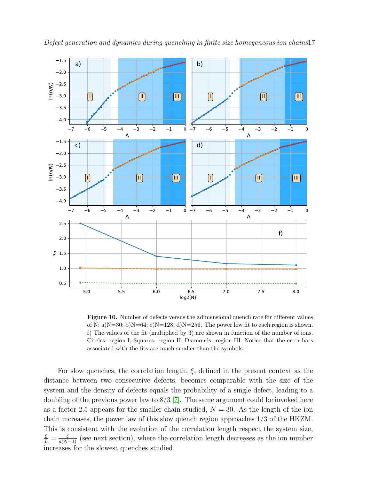

<span id="page-16-0"></span>Figure 10. Number of defects versus the adimensional quench rate for different values of N: a)N=30; b)N=64; c)N=128; d)N=256. The power low fit to each region is shown. f) The values of the fit (multiplied by 3) are shown in function of the number of ions. Circles: region I; Squares: region II; Diamonds: region III. Notice that the error bars associated with the fits are much smaller than the symbols.

For slow quenches, the correlation length,  $\xi$ , defined in the present context as the distance between two consecutive defects, becomes comparable with the size of the system and the density of defects equals the probability of a single defect, leading to a doubling of the previous power law to  $8/3$  [\[7\]](#page-19-6). The same argument could be invoked here as a factor 2.5 appears for the smaller chain studied,  $N = 30$ . As the length of the ion chain increases, the power law of this slow quench region approaches 1/3 of the HKZM. This is consistent with the evolution of the correlation length respect the system size,  $\frac{\xi}{L} = \frac{\xi}{d(N-1)}$  (see next section), where the correlation length decreases as the ion number increases for the slowest quenches studied.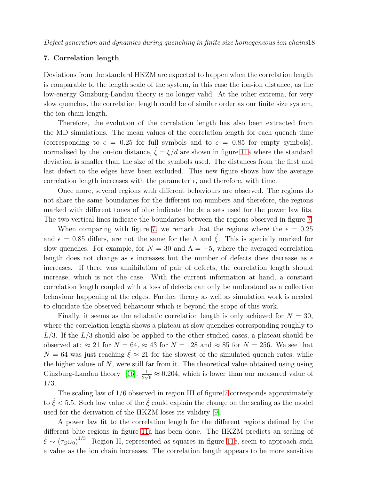## 7. Correlation length

Deviations from the standard HKZM are expected to happen when the correlation length is comparable to the length scale of the system, in this case the ion-ion distance, as the low-energy Ginzburg-Landau theory is no longer valid. At the other extrema, for very slow quenches, the correlation length could be of similar order as our finite size system, the ion chain length.

Therefore, the evolution of the correlation length has also been extracted from the MD simulations. The mean values of the correlation length for each quench time (corresponding to  $\epsilon = 0.25$  for full symbols and to  $\epsilon = 0.85$  for empty symbols), normalised by the ion-ion distance,  $\zeta = \xi/d$  are shown in figure [11a](#page-18-0) where the standard deviation is smaller than the size of the symbols used. The distances from the first and last defect to the edges have been excluded. This new figure shows how the average correlation length increases with the parameter  $\epsilon$ , and therefore, with time.

Once more, several regions with different behaviours are observed. The regions do not share the same boundaries for the different ion numbers and therefore, the regions marked with different tones of blue indicate the data sets used for the power law fits. The two vertical lines indicate the boundaries between the regions observed in figure [7.](#page-12-0)

When comparing with figure [7,](#page-12-0) we remark that the regions where the  $\epsilon = 0.25$ and  $\epsilon = 0.85$  differs, are not the same for the  $\Lambda$  and  $\hat{\xi}$ . This is specially marked for slow quenches. For example, for  $N = 30$  and  $\Lambda = -5$ , where the averaged correlation length does not change as  $\epsilon$  increases but the number of defects does decrease as  $\epsilon$ increases. If there was annihilation of pair of defects, the correlation length should increase, which is not the case. With the current information at hand, a constant correlation length coupled with a loss of defects can only be understood as a collective behaviour happening at the edges. Further theory as well as simulation work is needed to elucidate the observed behaviour which is beyond the scope of this work.

Finally, it seems as the adiabatic correlation length is only achieved for  $N = 30$ , where the correlation length shows a plateau at slow quenches corresponding roughly to  $L/3$ . If the  $L/3$  should also be applied to the other studied cases, a plateau should be observed at:  $\approx 21$  for  $N = 64$ ,  $\approx 43$  for  $N = 128$  and  $\approx 85$  for  $N = 256$ . We see that  $N = 64$  was just reaching  $\hat{\xi} \approx 21$  for the slowest of the simulated quench rates, while the higher values of  $N$ , were still far from it. The theoretical value obtained using using Ginzburg-Landau theory [\[16\]](#page-20-7):  $\frac{1}{2\sqrt{6}} \approx 0.204$ , which is lower than our measured value of 1/3.

The scaling law of 1/6 observed in region III of figure [7](#page-12-0) corresponds approximately to  $\zeta$  < 5.5. Such low value of the  $\zeta$  could explain the change on the scaling as the model used for the derivation of the HKZM loses its validity [\[9\]](#page-20-0).

A power law fit to the correlation length for the different regions defined by the different blue regions in figure [11a](#page-18-0) has been done. The HKZM predicts an scaling of  $\hat{\xi} \sim (\tau_Q \omega_0)^{1/3}$ . Region II, represented as squares in figure [11c](#page-18-0), seem to approach such a value as the ion chain increases. The correlation length appears to be more sensitive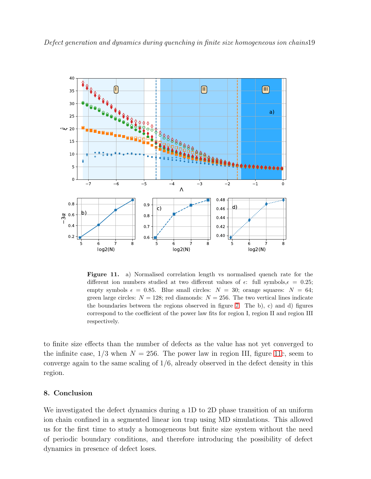



<span id="page-18-0"></span>Figure 11. a) Normalised correlation length vs normalised quench rate for the different ion numbers studied at two different values of  $\epsilon$ : full symbols,  $\epsilon = 0.25$ ; empty symbols  $\epsilon = 0.85$ . Blue small circles:  $N = 30$ ; orange squares:  $N = 64$ ; green large circles:  $N = 128$ ; red diamonds:  $N = 256$ . The two vertical lines indicate the boundaries between the regions observed in figure [7.](#page-12-0) The b), c) and d) figures correspond to the coefficient of the power law fits for region I, region II and region III respectively.

to finite size effects than the number of defects as the value has not yet converged to the infinite case,  $1/3$  when  $N = 256$ . The power law in region III, figure [11c](#page-18-0), seem to converge again to the same scaling of  $1/6$ , already observed in the defect density in this region.

## 8. Conclusion

We investigated the defect dynamics during a 1D to 2D phase transition of an uniform ion chain confined in a segmented linear ion trap using MD simulations. This allowed us for the first time to study a homogeneous but finite size system without the need of periodic boundary conditions, and therefore introducing the possibility of defect dynamics in presence of defect loses.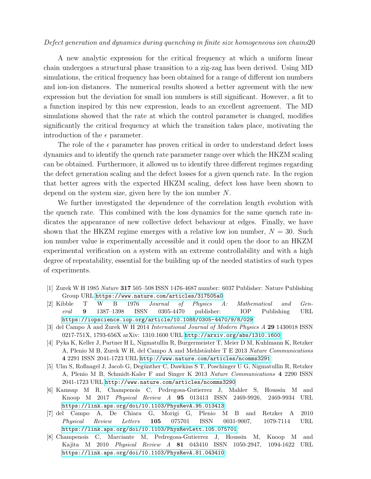## Defect generation and dynamics during quenching in finite size homogeneous ion chains20

A new analytic expression for the critical frequency at which a uniform linear chain undergoes a structural phase transition to a zig-zag has been derived. Using MD simulations, the critical frequency has been obtained for a range of different ion numbers and ion-ion distances. The numerical results showed a better agreement with the new expression but the deviation for small ion numbers is still significant. However, a fit to a function inspired by this new expression, leads to an excellent agreement. The MD simulations showed that the rate at which the control parameter is changed, modifies significantly the critical frequency at which the transition takes place, motivating the introduction of the  $\epsilon$  parameter.

The role of the  $\epsilon$  parameter has proven critical in order to understand defect loses dynamics and to identify the quench rate parameter range over which the HKZM scaling can be obtained. Furthermore, it allowed us to identify three different regimes regarding the defect generation scaling and the defect losses for a given quench rate. In the region that better agrees with the expected HKZM scaling, defect loss have been shown to depend on the system size, given here by the ion number N.

We further investigated the dependence of the correlation length evolution with the quench rate. This combined with the loss dynamics for the same quench rate indicates the appearance of new collective defect behaviour at edges. Finally, we have shown that the HKZM regime emerges with a relative low ion number,  $N = 30$ . Such ion number value is experimentally accessible and it could open the door to an HKZM experimental verification on a system with an extreme controllability and with a high degree of repeatability, essential for the building up of the needed statistics of such types of experiments.

- <span id="page-19-1"></span><span id="page-19-0"></span>[1] Zurek W H 1985 Nature 317 505–508 ISSN 1476-4687 number: 6037 Publisher: Nature Publishing Group URL <https://www.nature.com/articles/317505a0>
- [2] Kibble T W B 1976 Journal of Physics A: Mathematical and General 9 1387–1398 ISSN 0305-4470 publisher: IOP Publishing URL <https://iopscience.iop.org/article/10.1088/0305-4470/9/8/029>
- <span id="page-19-3"></span><span id="page-19-2"></span>[3] del Campo A and Zurek W H 2014 International Journal of Modern Physics A 29 1430018 ISSN 0217-751X, 1793-656X arXiv: 1310.1600 URL <http://arxiv.org/abs/1310.1600>
- [4] Pyka K, Keller J, Partner H L, Nigmatullin R, Burgermeister T, Meier D M, Kuhlmann K, Retzker A, Plenio M B, Zurek W H, del Campo A and Mehlstäubler T E 2013 Nature Communications 4 2291 ISSN 2041-1723 URL <http://www.nature.com/articles/ncomms3291>
- <span id="page-19-4"></span>[5] Ulm S, Roßnagel J, Jacob G, Degünther C, Dawkins S T, Poschinger U G, Nigmatullin R, Retzker A, Plenio M B, Schmidt-Kaler F and Singer K 2013 Nature Communications 4 2290 ISSN 2041-1723 URL <http://www.nature.com/articles/ncomms3290>
- <span id="page-19-5"></span>[6] Kamsap M R, Champenois C, Pedregosa-Gutierrez J, Mahler S, Houssin M and Knoop M 2017 Physical Review A 95 013413 ISSN 2469-9926, 2469-9934 URL <https://link.aps.org/doi/10.1103/PhysRevA.95.013413>
- <span id="page-19-6"></span>[7] del Campo A, De Chiara G, Morigi G, Plenio M B and Retzker A 2010 Physical Review Letters 105 075701 ISSN 0031-9007, 1079-7114 URL <https://link.aps.org/doi/10.1103/PhysRevLett.105.075701>
- <span id="page-19-7"></span>[8] Champenois C, Marciante M, Pedregosa-Gutierrez J, Houssin M, Knoop M and Kajita M 2010 Physical Review A 81 043410 ISSN 1050-2947, 1094-1622 URL <https://link.aps.org/doi/10.1103/PhysRevA.81.043410>